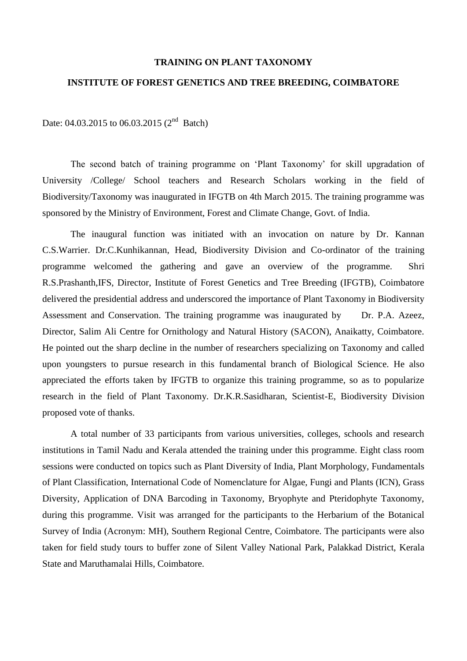## **TRAINING ON PLANT TAXONOMY**

## **INSTITUTE OF FOREST GENETICS AND TREE BREEDING, COIMBATORE**

Date: 04.03.2015 to 06.03.2015 ( $2<sup>nd</sup>$  Batch)

The second batch of training programme on 'Plant Taxonomy' for skill upgradation of University /College/ School teachers and Research Scholars working in the field of Biodiversity/Taxonomy was inaugurated in IFGTB on 4th March 2015. The training programme was sponsored by the Ministry of Environment, Forest and Climate Change, Govt. of India.

The inaugural function was initiated with an invocation on nature by Dr. Kannan C.S.Warrier. Dr.C.Kunhikannan, Head, Biodiversity Division and Co-ordinator of the training programme welcomed the gathering and gave an overview of the programme. Shri R.S.Prashanth,IFS, Director, Institute of Forest Genetics and Tree Breeding (IFGTB), Coimbatore delivered the presidential address and underscored the importance of Plant Taxonomy in Biodiversity Assessment and Conservation. The training programme was inaugurated by Dr. P.A. Azeez, Director, Salim Ali Centre for Ornithology and Natural History (SACON), Anaikatty, Coimbatore. He pointed out the sharp decline in the number of researchers specializing on Taxonomy and called upon youngsters to pursue research in this fundamental branch of Biological Science. He also appreciated the efforts taken by IFGTB to organize this training programme, so as to popularize research in the field of Plant Taxonomy. Dr.K.R.Sasidharan, Scientist-E, Biodiversity Division proposed vote of thanks.

A total number of 33 participants from various universities, colleges, schools and research institutions in Tamil Nadu and Kerala attended the training under this programme. Eight class room sessions were conducted on topics such as Plant Diversity of India, Plant Morphology, Fundamentals of Plant Classification, International Code of Nomenclature for Algae, Fungi and Plants (ICN), Grass Diversity, Application of DNA Barcoding in Taxonomy, Bryophyte and Pteridophyte Taxonomy, during this programme. Visit was arranged for the participants to the Herbarium of the Botanical Survey of India (Acronym: MH), Southern Regional Centre, Coimbatore. The participants were also taken for field study tours to buffer zone of Silent Valley National Park, Palakkad District, Kerala State and Maruthamalai Hills, Coimbatore.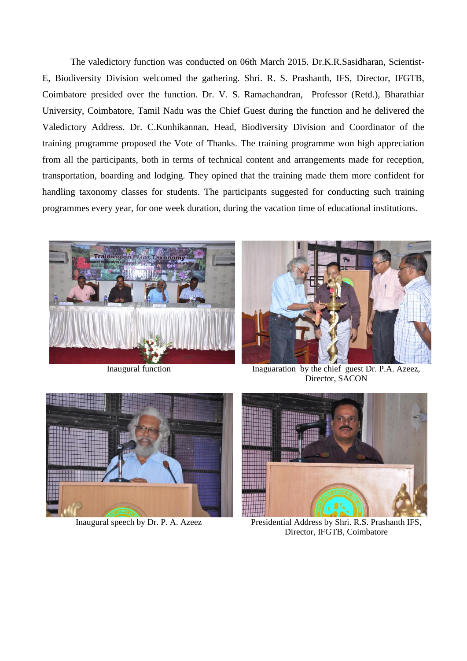The valedictory function was conducted on 06th March 2015. Dr.K.R.Sasidharan, Scientist-E, Biodiversity Division welcomed the gathering. Shri. R. S. Prashanth, IFS, Director, IFGTB, Coimbatore presided over the function. Dr. V. S. Ramachandran, Professor (Retd.), Bharathiar University, Coimbatore, Tamil Nadu was the Chief Guest during the function and he delivered the Valedictory Address. Dr. C.Kunhikannan, Head, Biodiversity Division and Coordinator of the training programme proposed the Vote of Thanks. The training programme won high appreciation from all the participants, both in terms of technical content and arrangements made for reception, transportation, boarding and lodging. They opined that the training made them more confident for handling taxonomy classes for students. The participants suggested for conducting such training programmes every year, for one week duration, during the vacation time of educational institutions.





Inaugural function Inaguaration by the chief guest Dr. P.A. Azeez, Director, SACON





Inaugural speech by Dr. P. A. Azeez Presidential Address by Shri. R.S. Prashanth IFS, Director, IFGTB, Coimbatore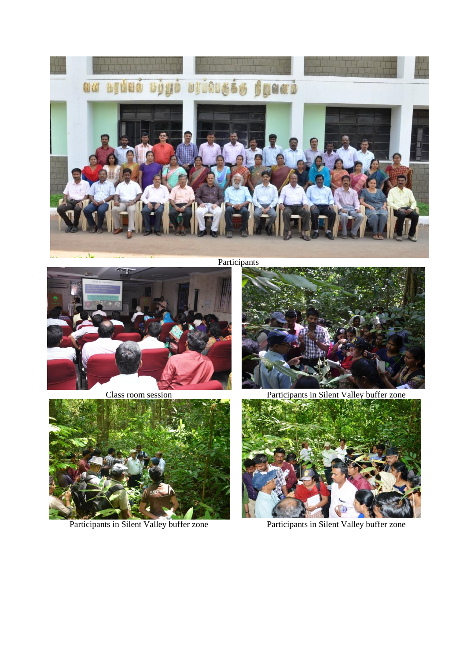

Participants





Participants in Silent Valley buffer zone Participants in Silent Valley buffer zone



Class room session Participants in Silent Valley buffer zone